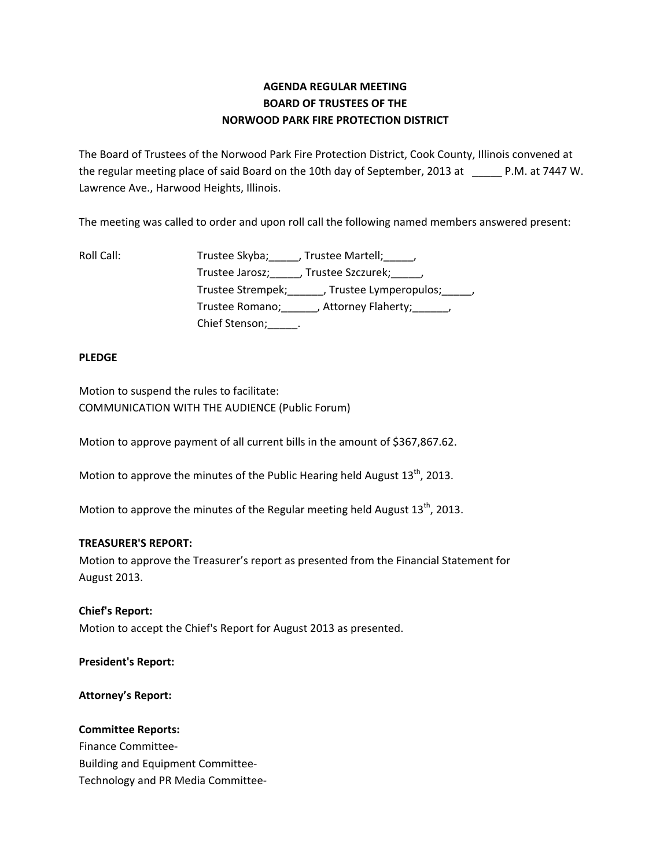# **AGENDA REGULAR MEETING BOARD OF TRUSTEES OF THE NORWOOD PARK FIRE PROTECTION DISTRICT**

The Board of Trustees of the Norwood Park Fire Protection District, Cook County, Illinois convened at the regular meeting place of said Board on the 10th day of September, 2013 at \_\_\_\_\_ P.M. at 7447 W. Lawrence Ave., Harwood Heights, Illinois.

The meeting was called to order and upon roll call the following named members answered present:

Roll Call: Trustee Skyba; Frustee Martell; Trustee Jarosz; J. Trustee Szczurek; J. Trustee Strempek;\_\_\_\_\_\_, Trustee Lymperopulos;\_\_\_\_\_, Trustee Romano;\_\_\_\_\_\_, Attorney Flaherty;\_\_\_\_\_\_, Chief Stenson; \_\_\_\_\_\_.

### **PLEDGE**

Motion to suspend the rules to facilitate: COMMUNICATION WITH THE AUDIENCE (Public Forum)

Motion to approve payment of all current bills in the amount of \$367,867.62.

Motion to approve the minutes of the Public Hearing held August  $13<sup>th</sup>$ , 2013.

Motion to approve the minutes of the Regular meeting held August  $13<sup>th</sup>$ , 2013.

## **TREASURER'S REPORT:**

Motion to approve the Treasurer's report as presented from the Financial Statement for August 2013.

**Chief's Report:** Motion to accept the Chief's Report for August 2013 as presented.

#### **President's Report:**

**Attorney's Report:**

#### **Committee Reports:**

Finance Committee‐ Building and Equipment Committee‐ Technology and PR Media Committee‐